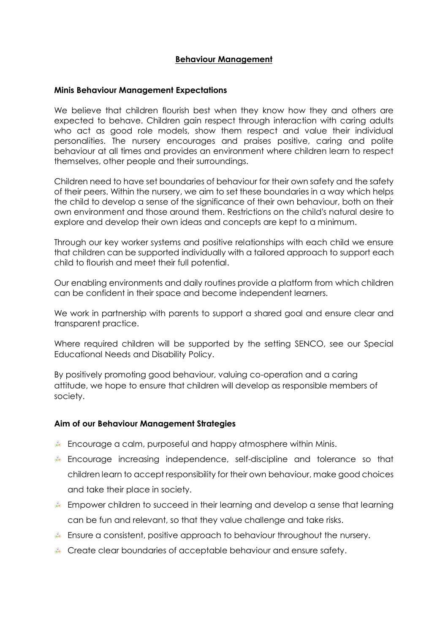#### **Behaviour Management**

#### **Minis Behaviour Management Expectations**

We believe that children flourish best when they know how they and others are expected to behave. Children gain respect through interaction with caring adults who act as good role models, show them respect and value their individual personalities. The nursery encourages and praises positive, caring and polite behaviour at all times and provides an environment where children learn to respect themselves, other people and their surroundings.

Children need to have set boundaries of behaviour for their own safety and the safety of their peers. Within the nursery, we aim to set these boundaries in a way which helps the child to develop a sense of the significance of their own behaviour, both on their own environment and those around them. Restrictions on the child's natural desire to explore and develop their own ideas and concepts are kept to a minimum.

Through our key worker systems and positive relationships with each child we ensure that children can be supported individually with a tailored approach to support each child to flourish and meet their full potential.

Our enabling environments and daily routines provide a platform from which children can be confident in their space and become independent learners.

We work in partnership with parents to support a shared goal and ensure clear and transparent practice.

Where required children will be supported by the setting SENCO, see our Special Educational Needs and Disability Policy.

By positively promoting good behaviour, valuing co-operation and a caring attitude, we hope to ensure that children will develop as responsible members of society.

#### **Aim of our Behaviour Management Strategies**

- Encourage a calm, purposeful and happy atmosphere within Minis.
- Encourage increasing independence, self-discipline and tolerance so that children learn to accept responsibility for their own behaviour, make good choices and take their place in society.
- Empower children to succeed in their learning and develop a sense that learning can be fun and relevant, so that they value challenge and take risks.
- Ensure a consistent, positive approach to behaviour throughout the nursery.
- Create clear boundaries of acceptable behaviour and ensure safety.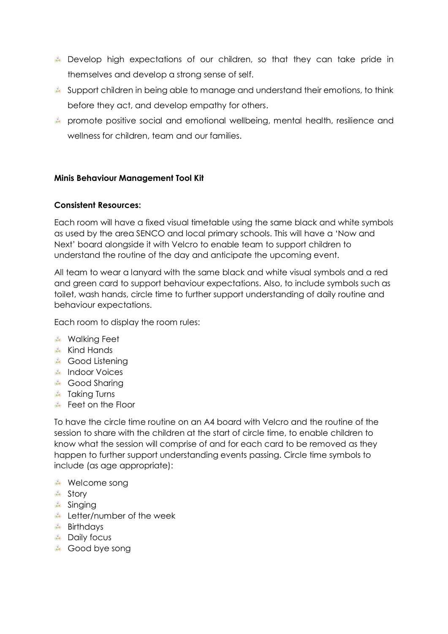- Develop high expectations of our children, so that they can take pride in themselves and develop a strong sense of self.
- Support children in being able to manage and understand their emotions, to think before they act, and develop empathy for others.
- promote positive social and emotional wellbeing, mental health, resilience and wellness for children, team and our families.

# **Minis Behaviour Management Tool Kit**

# **Consistent Resources:**

Each room will have a fixed visual timetable using the same black and white symbols as used by the area SENCO and local primary schools. This will have a 'Now and Next' board alongside it with Velcro to enable team to support children to understand the routine of the day and anticipate the upcoming event.

All team to wear a lanyard with the same black and white visual symbols and a red and green card to support behaviour expectations. Also, to include symbols such as toilet, wash hands, circle time to further support understanding of daily routine and behaviour expectations.

Each room to display the room rules:

- **Walking Feet**
- **Kind Hands**
- **Good Listening**
- **Indoor Voices**
- **Good Sharing**
- **Taking Turns**
- Feet on the Floor

To have the circle time routine on an A4 board with Velcro and the routine of the session to share with the children at the start of circle time, to enable children to know what the session will comprise of and for each card to be removed as they happen to further support understanding events passing. Circle time symbols to include (as age appropriate):

- **Welcome song**
- <del></del> Story
- **A** Sinaina
- **Letter/number of the week**
- **Birthdays**
- **Daily focus**
- Good bye song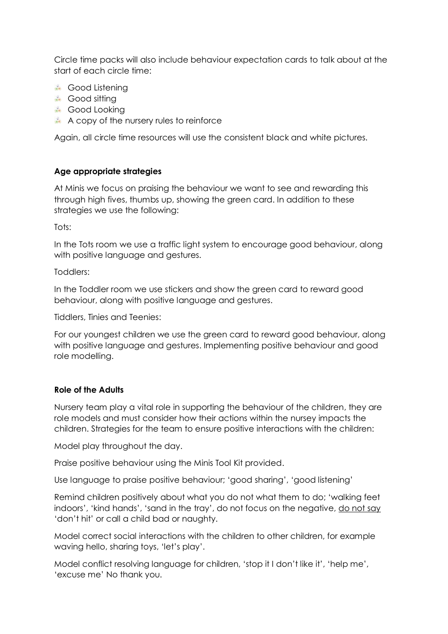Circle time packs will also include behaviour expectation cards to talk about at the start of each circle time:

- **Good Listening**
- \* Good sitting
- **Good Looking**
- $\star$  A copy of the nursery rules to reinforce

Again, all circle time resources will use the consistent black and white pictures.

# **Age appropriate strategies**

At Minis we focus on praising the behaviour we want to see and rewarding this through high fives, thumbs up, showing the green card. In addition to these strategies we use the following:

Tots:

In the Tots room we use a traffic light system to encourage good behaviour, along with positive language and gestures.

Toddlers:

In the Toddler room we use stickers and show the green card to reward good behaviour, along with positive language and gestures.

Tiddlers, Tinies and Teenies:

For our youngest children we use the green card to reward good behaviour, along with positive language and gestures. Implementing positive behaviour and good role modelling.

# **Role of the Adults**

Nursery team play a vital role in supporting the behaviour of the children, they are role models and must consider how their actions within the nursey impacts the children. Strategies for the team to ensure positive interactions with the children:

Model play throughout the day.

Praise positive behaviour using the Minis Tool Kit provided.

Use language to praise positive behaviour; 'good sharing', 'good listening'

Remind children positively about what you do not what them to do; 'walking feet indoors', 'kind hands', 'sand in the tray', do not focus on the negative, do not say 'don't hit' or call a child bad or naughty.

Model correct social interactions with the children to other children, for example waving hello, sharing toys, 'let's play'.

Model conflict resolving language for children, 'stop it I don't like it', 'help me', 'excuse me' No thank you.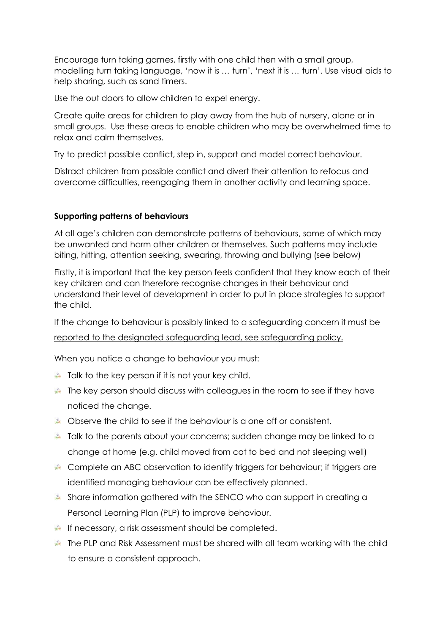Encourage turn taking games, firstly with one child then with a small group, modelling turn taking language, 'now it is … turn', 'next it is … turn'. Use visual aids to help sharing, such as sand timers.

Use the out doors to allow children to expel energy.

Create quite areas for children to play away from the hub of nursery, alone or in small groups. Use these areas to enable children who may be overwhelmed time to relax and calm themselves.

Try to predict possible conflict, step in, support and model correct behaviour.

Distract children from possible conflict and divert their attention to refocus and overcome difficulties, reengaging them in another activity and learning space.

# **Supporting patterns of behaviours**

At all age's children can demonstrate patterns of behaviours, some of which may be unwanted and harm other children or themselves. Such patterns may include biting, hitting, attention seeking, swearing, throwing and bullying (see below)

Firstly, it is important that the key person feels confident that they know each of their key children and can therefore recognise changes in their behaviour and understand their level of development in order to put in place strategies to support the child.

If the change to behaviour is possibly linked to a safeguarding concern it must be reported to the designated safeguarding lead, see safeguarding policy.

When you notice a change to behaviour you must:

- $\ast$  Talk to the key person if it is not your key child.
- The key person should discuss with colleagues in the room to see if they have noticed the change.
- Observe the child to see if the behaviour is a one off or consistent.
- Talk to the parents about your concerns; sudden change may be linked to a change at home (e.g. child moved from cot to bed and not sleeping well)
- Complete an ABC observation to identify triggers for behaviour; if triggers are identified managing behaviour can be effectively planned.
- Share information gathered with the SENCO who can support in creating a Personal Learning Plan (PLP) to improve behaviour.
- If necessary, a risk assessment should be completed.
- The PLP and Risk Assessment must be shared with all team working with the child to ensure a consistent approach.